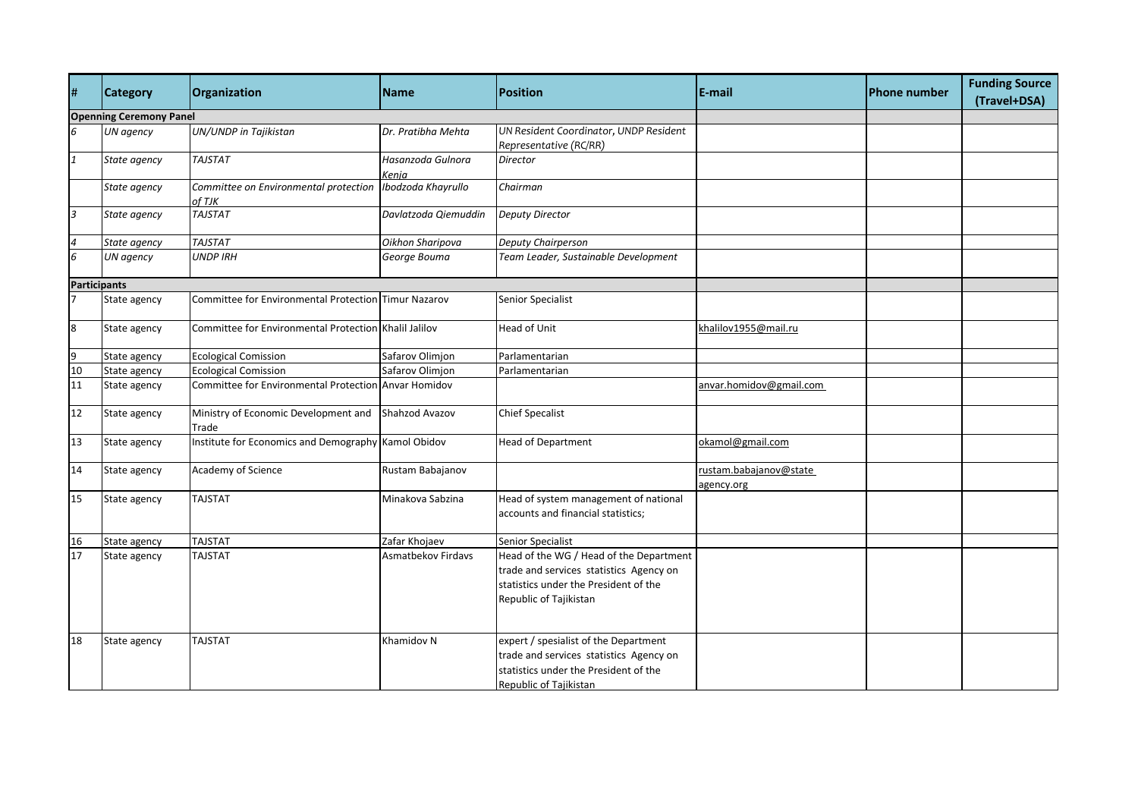| #            | <b>Category</b>                | Organization                                          | <b>Name</b>                | <b>Position</b>                                                                                                                                       | E-mail                               | lPhone number | <b>Funding Source</b><br>(Travel+DSA) |  |  |
|--------------|--------------------------------|-------------------------------------------------------|----------------------------|-------------------------------------------------------------------------------------------------------------------------------------------------------|--------------------------------------|---------------|---------------------------------------|--|--|
|              | <b>Openning Ceremony Panel</b> |                                                       |                            |                                                                                                                                                       |                                      |               |                                       |  |  |
| 6            | UN agency                      | UN/UNDP in Tajikistan                                 | Dr. Pratibha Mehta         | UN Resident Coordinator, UNDP Resident<br>Representative (RC/RR)                                                                                      |                                      |               |                                       |  |  |
| $\mathbf{1}$ | State agency                   | <b>TAJSTAT</b>                                        | Hasanzoda Gulnora<br>Kenja | <b>Director</b>                                                                                                                                       |                                      |               |                                       |  |  |
|              | State agency                   | Committee on Environmental protection<br>of TJK       | Ibodzoda Khayrullo         | Chairman                                                                                                                                              |                                      |               |                                       |  |  |
| 3            | State agency                   | <b>TAJSTAT</b>                                        | Davlatzoda Qiemuddin       | <b>Deputy Director</b>                                                                                                                                |                                      |               |                                       |  |  |
| 4            | State agency                   | <b>TAJSTAT</b>                                        | Oikhon Sharipova           | Deputy Chairperson                                                                                                                                    |                                      |               |                                       |  |  |
| 6            | UN agency                      | <b>UNDP IRH</b>                                       | George Bouma               | Team Leader, Sustainable Development                                                                                                                  |                                      |               |                                       |  |  |
|              | <b>Participants</b>            |                                                       |                            |                                                                                                                                                       |                                      |               |                                       |  |  |
|              | State agency                   | Committee for Environmental Protection Timur Nazarov  |                            | Senior Specialist                                                                                                                                     |                                      |               |                                       |  |  |
| 8            | State agency                   | Committee for Environmental Protection Khalil Jalilov |                            | <b>Head of Unit</b>                                                                                                                                   | khalilov1955@mail.ru                 |               |                                       |  |  |
| 9            | State agency                   | <b>Ecological Comission</b>                           | Safarov Olimjon            | Parlamentarian                                                                                                                                        |                                      |               |                                       |  |  |
| 10           | State agency                   | <b>Ecological Comission</b>                           | Safarov Olimjon            | Parlamentarian                                                                                                                                        |                                      |               |                                       |  |  |
| 11           | State agency                   | Committee for Environmental Protection Anvar Homidov  |                            |                                                                                                                                                       | anvar.homidov@gmail.com              |               |                                       |  |  |
| 12           | State agency                   | Ministry of Economic Development and<br>Trade         | Shahzod Avazov             | <b>Chief Specalist</b>                                                                                                                                |                                      |               |                                       |  |  |
| 13           | State agency                   | Institute for Economics and Demography                | Kamol Obidov               | <b>Head of Department</b>                                                                                                                             | okamol@gmail.com                     |               |                                       |  |  |
| 14           | State agency                   | Academy of Science                                    | Rustam Babajanov           |                                                                                                                                                       | rustam.babajanov@state<br>agency.org |               |                                       |  |  |
| 15           | State agency                   | <b>TAJSTAT</b>                                        | Minakova Sabzina           | Head of system management of national<br>accounts and financial statistics;                                                                           |                                      |               |                                       |  |  |
| 16           | State agency                   | <b>TAJSTAT</b>                                        | Zafar Khojaev              | Senior Specialist                                                                                                                                     |                                      |               |                                       |  |  |
| 17           | State agency                   | <b>TAJSTAT</b>                                        | Asmatbekov Firdavs         | Head of the WG / Head of the Department<br>trade and services statistics Agency on<br>statistics under the President of the<br>Republic of Tajikistan |                                      |               |                                       |  |  |
| 18           | State agency                   | <b>TAJSTAT</b>                                        | Khamidov N                 | expert / spesialist of the Department<br>trade and services statistics Agency on<br>statistics under the President of the<br>Republic of Tajikistan   |                                      |               |                                       |  |  |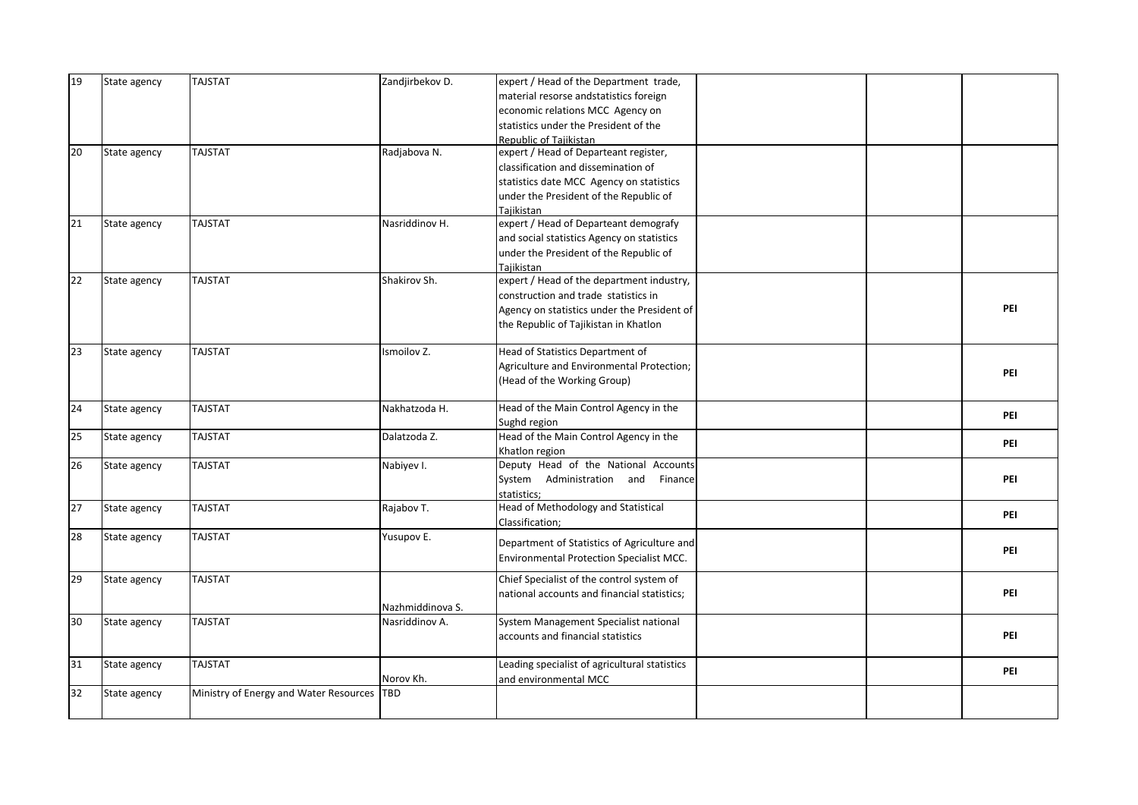| 19 | State agency | <b>TAJSTAT</b>                         | Zandjirbekov D.  | expert / Head of the Department trade,        |  |     |
|----|--------------|----------------------------------------|------------------|-----------------------------------------------|--|-----|
|    |              |                                        |                  | material resorse andstatistics foreign        |  |     |
|    |              |                                        |                  | economic relations MCC Agency on              |  |     |
|    |              |                                        |                  | statistics under the President of the         |  |     |
|    |              |                                        |                  | Republic of Tajikistan                        |  |     |
| 20 | State agency | <b>TAJSTAT</b>                         | Radjabova N.     | expert / Head of Departeant register,         |  |     |
|    |              |                                        |                  | classification and dissemination of           |  |     |
|    |              |                                        |                  | statistics date MCC Agency on statistics      |  |     |
|    |              |                                        |                  | under the President of the Republic of        |  |     |
|    |              |                                        |                  | Tajikistan                                    |  |     |
| 21 | State agency | <b>TAJSTAT</b>                         | Nasriddinov H.   | expert / Head of Departeant demografy         |  |     |
|    |              |                                        |                  | and social statistics Agency on statistics    |  |     |
|    |              |                                        |                  | under the President of the Republic of        |  |     |
|    |              |                                        |                  | Tajikistan                                    |  |     |
| 22 | State agency | <b>TAJSTAT</b>                         | Shakirov Sh.     | expert / Head of the department industry,     |  |     |
|    |              |                                        |                  | construction and trade statistics in          |  |     |
|    |              |                                        |                  | Agency on statistics under the President of   |  | PEI |
|    |              |                                        |                  | the Republic of Tajikistan in Khatlon         |  |     |
|    |              |                                        |                  |                                               |  |     |
| 23 | State agency | <b>TAJSTAT</b>                         | Ismoilov Z.      | Head of Statistics Department of              |  |     |
|    |              |                                        |                  | Agriculture and Environmental Protection;     |  | PEI |
|    |              |                                        |                  | (Head of the Working Group)                   |  |     |
|    |              |                                        |                  |                                               |  |     |
| 24 | State agency | <b>TAJSTAT</b>                         | Nakhatzoda H.    | Head of the Main Control Agency in the        |  | PEI |
|    |              |                                        |                  | Sughd region                                  |  |     |
| 25 | State agency | <b>TAJSTAT</b>                         | Dalatzoda Z.     | Head of the Main Control Agency in the        |  | PEI |
|    |              |                                        |                  | Khatlon region                                |  |     |
| 26 | State agency | <b>TAJSTAT</b>                         | Nabiyev I.       | Deputy Head of the National Accounts          |  |     |
|    |              |                                        |                  | System Administration and Finance             |  | PEI |
|    |              |                                        |                  | statistics;                                   |  |     |
| 27 | State agency | <b>TAJSTAT</b>                         | Rajabov T.       | Head of Methodology and Statistical           |  | PEI |
|    |              |                                        |                  | Classification;                               |  |     |
| 28 | State agency | <b>TAJSTAT</b>                         | Yusupov E.       | Department of Statistics of Agriculture and   |  |     |
|    |              |                                        |                  | Environmental Protection Specialist MCC.      |  | PEI |
|    |              |                                        |                  |                                               |  |     |
| 29 | State agency | <b>TAJSTAT</b>                         |                  | Chief Specialist of the control system of     |  |     |
|    |              |                                        |                  | national accounts and financial statistics;   |  | PEI |
|    |              |                                        | Nazhmiddinova S. |                                               |  |     |
| 30 | State agency | <b>TAJSTAT</b>                         | Nasriddinov A.   | System Management Specialist national         |  |     |
|    |              |                                        |                  | accounts and financial statistics             |  | PEI |
|    |              | <b>TAJSTAT</b>                         |                  |                                               |  |     |
| 31 | State agency |                                        | Norov Kh.        | Leading specialist of agricultural statistics |  | PEI |
| 32 |              |                                        |                  | and environmental MCC                         |  |     |
|    | State agency | Ministry of Energy and Water Resources | <b>TBD</b>       |                                               |  |     |
|    |              |                                        |                  |                                               |  |     |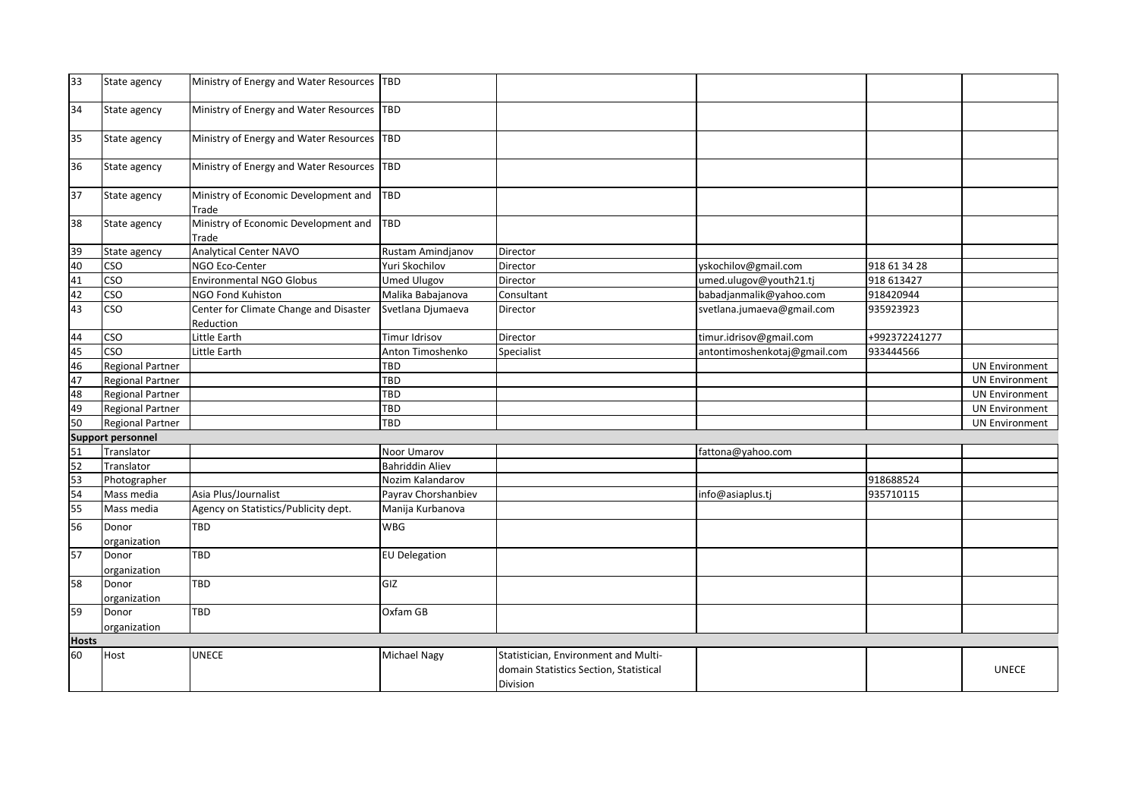| 33 | State agency             | Ministry of Energy and Water Resources   TBD        |                        |                                        |                              |               |                       |  |  |
|----|--------------------------|-----------------------------------------------------|------------------------|----------------------------------------|------------------------------|---------------|-----------------------|--|--|
| 34 | State agency             | Ministry of Energy and Water Resources              | <b>TBD</b>             |                                        |                              |               |                       |  |  |
| 35 | State agency             | Ministry of Energy and Water Resources TBD          |                        |                                        |                              |               |                       |  |  |
| 36 | State agency             | Ministry of Energy and Water Resources              | <b>TBD</b>             |                                        |                              |               |                       |  |  |
| 37 | State agency             | Ministry of Economic Development and<br>Trade       | <b>TBD</b>             |                                        |                              |               |                       |  |  |
| 38 | State agency             | Ministry of Economic Development and<br>Trade       | <b>TBD</b>             |                                        |                              |               |                       |  |  |
| 39 | State agency             | Analytical Center NAVO                              | Rustam Amindjanov      | Director                               |                              |               |                       |  |  |
| 40 | <b>CSO</b>               | NGO Eco-Center                                      | Yuri Skochilov         | Director                               | yskochilov@gmail.com         | 918 61 34 28  |                       |  |  |
| 41 | <b>CSO</b>               | <b>Environmental NGO Globus</b>                     | <b>Umed Ulugov</b>     | Director                               | umed.ulugov@youth21.tj       | 918 613427    |                       |  |  |
| 42 | CSO                      | NGO Fond Kuhiston                                   | Malika Babajanova      | Consultant                             | babadjanmalik@yahoo.com      | 918420944     |                       |  |  |
| 43 | <b>CSO</b>               | Center for Climate Change and Disaster<br>Reduction | Svetlana Djumaeva      | Director                               | svetlana.jumaeva@gmail.com   | 935923923     |                       |  |  |
| 44 | <b>CSO</b>               | Little Earth                                        | Timur Idrisov          | Director                               | timur.idrisov@gmail.com      | +992372241277 |                       |  |  |
| 45 | cso                      | Little Earth                                        | Anton Timoshenko       | Specialist                             | antontimoshenkotaj@gmail.com | 933444566     |                       |  |  |
| 46 | <b>Regional Partner</b>  |                                                     | TBD                    |                                        |                              |               | <b>UN Environment</b> |  |  |
| 47 | <b>Regional Partner</b>  |                                                     | TBD                    |                                        |                              |               | <b>UN Environment</b> |  |  |
| 48 | <b>Regional Partner</b>  |                                                     | TBD                    |                                        |                              |               | <b>UN Environment</b> |  |  |
| 49 | Regional Partner         |                                                     | <b>TBD</b>             |                                        |                              |               | <b>UN Environment</b> |  |  |
| 50 | Regional Partner         |                                                     | TBD                    |                                        |                              |               | <b>UN Environment</b> |  |  |
|    | <b>Support personnel</b> |                                                     |                        |                                        |                              |               |                       |  |  |
| 51 | Translator               |                                                     | Noor Umarov            |                                        | fattona@yahoo.com            |               |                       |  |  |
| 52 | Translator               |                                                     | <b>Bahriddin Aliev</b> |                                        |                              |               |                       |  |  |
| 53 | Photographer             |                                                     | Nozim Kalandarov       |                                        |                              | 918688524     |                       |  |  |
| 54 | Mass media               | Asia Plus/Journalist                                | Payrav Chorshanbiev    |                                        | info@asiaplus.tj             | 935710115     |                       |  |  |
| 55 | Mass media               | Agency on Statistics/Publicity dept.                | Manija Kurbanova       |                                        |                              |               |                       |  |  |
| 56 | Donor<br>organization    | <b>TBD</b>                                          | <b>WBG</b>             |                                        |                              |               |                       |  |  |
| 57 | Donor<br>organization    | TBD                                                 | <b>EU Delegation</b>   |                                        |                              |               |                       |  |  |
| 58 | Donor<br>organization    | TBD                                                 | GIZ                    |                                        |                              |               |                       |  |  |
| 59 | Donor<br>organization    | <b>TBD</b>                                          | Oxfam GB               |                                        |                              |               |                       |  |  |
|    | <b>Hosts</b>             |                                                     |                        |                                        |                              |               |                       |  |  |
| 60 | Host                     | <b>UNECE</b>                                        | Michael Nagy           | Statistician, Environment and Multi-   |                              |               |                       |  |  |
|    |                          |                                                     |                        | domain Statistics Section, Statistical |                              |               | <b>UNECE</b>          |  |  |
|    |                          |                                                     |                        | Division                               |                              |               |                       |  |  |
|    |                          |                                                     |                        |                                        |                              |               |                       |  |  |